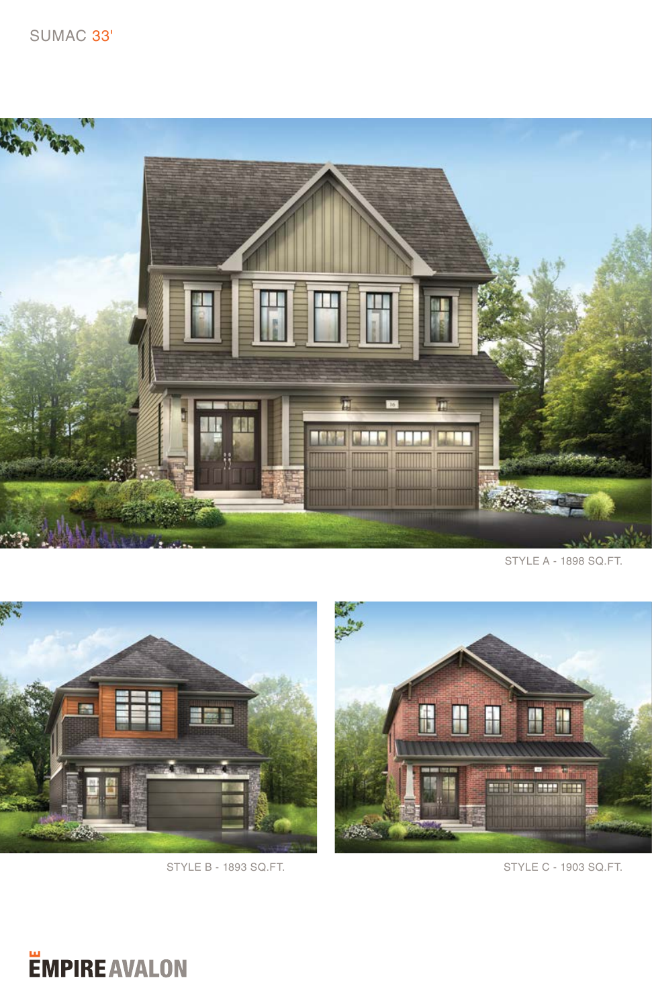

STYLE A - 1898 SQ.FT.





## STYLE B - 1893 SQ.FT. STYLE C - 1903 SQ.FT.